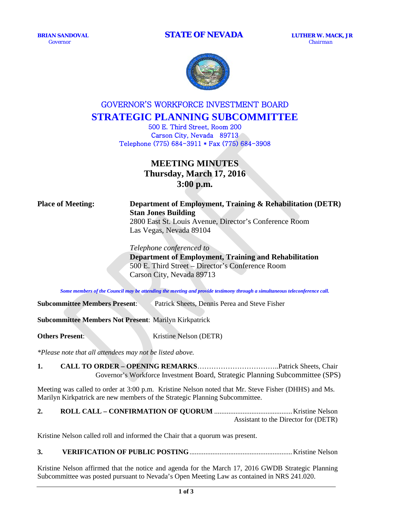**BRIAN SANDOVAL STATE OF NEVADA LUTHER W. MACK, JR** *Governor Chairman* 



# GOVERNOR'S WORKFORCE INVESTMENT BOARD **STRATEGIC PLANNING SUBCOMMITTEE**

500 E. Third Street, Room 200 Carson City, Nevada 89713 Telephone (775) 684-3911 \* Fax (775) 684-3908

# **MEETING MINUTES Thursday, March 17, 2016 3:00 p.m.**

## **Place of Meeting: Department of Employment, Training & Rehabilitation (DETR) Stan Jones Building**  2800 East St. Louis Avenue, Director's Conference Room

Las Vegas, Nevada 89104

*Telephone conferenced to*  **Department of Employment, Training and Rehabilitation** 500 E. Third Street – Director's Conference Room Carson City, Nevada 89713

*Some members of the Council may be attending the meeting and provide testimony through a simultaneous teleconference call.*

**Subcommittee Members Present**: Patrick Sheets, Dennis Perea and Steve Fisher

**Subcommittee Members Not Present**: Marilyn Kirkpatrick

**Others Present:** Kristine Nelson (DETR)

*\*Please note that all attendees may not be listed above.*

**1. CALL TO ORDER – OPENING REMARKS**……………………………..Patrick Sheets, Chair Governor's Workforce Investment Board, Strategic Planning Subcommittee (SPS)

Meeting was called to order at 3:00 p.m. Kristine Nelson noted that Mr. Steve Fisher (DHHS) and Ms. Marilyn Kirkpatrick are new members of the Strategic Planning Subcommittee.

|  | Assistant to the Director for (DETR) |
|--|--------------------------------------|

Kristine Nelson called roll and informed the Chair that a quorum was present.

**3. VERIFICATION OF PUBLIC POSTING**..........................................................Kristine Nelson

Kristine Nelson affirmed that the notice and agenda for the March 17, 2016 GWDB Strategic Planning Subcommittee was posted pursuant to Nevada's Open Meeting Law as contained in NRS 241.020.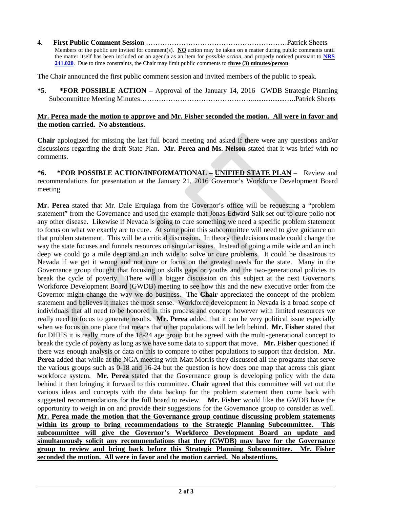**4. First Public Comment Session** ……………………………………………………Patrick Sheets Members of the public are invited for comment(s). **NO** action may be taken on a matter during public comments until the matter itself has been included on an agenda as an item for *possible action*, and properly noticed pursuant to **[NRS](http://www.leg.state.nv.us/NRS/NRS-241.html%23NRS241Sec020)  [241.020](http://www.leg.state.nv.us/NRS/NRS-241.html%23NRS241Sec020)**. Due to time constraints, the Chair may limit public comments to **three (3) minutes/person**.

The Chair announced the first public comment session and invited members of the public to speak.

**\*5. \*FOR POSSIBLE ACTION –** Approval of the January 14, 2016 GWDB Strategic Planning Subcommittee Meeting Minutes…………………………………………..................…..Patrick Sheets

### **Mr. Perea made the motion to approve and Mr. Fisher seconded the motion. All were in favor and the motion carried. No abstentions.**

**Chair** apologized for missing the last full board meeting and asked if there were any questions and/or discussions regarding the draft State Plan. **Mr. Perea and Ms. Nelson** stated that it was brief with no comments.

**\*6. \*FOR POSSIBLE ACTION/INFORMATIONAL – UNIFIED STATE PLAN** – Review and recommendations for presentation at the January 21, 2016 Governor's Workforce Development Board meeting.

**Mr. Perea** stated that Mr. Dale Erquiaga from the Governor's office will be requesting a "problem statement" from the Governance and used the example that Jonas Edward Salk set out to cure polio not any other disease. Likewise if Nevada is going to cure something we need a specific problem statement to focus on what we exactly are to cure. At some point this subcommittee will need to give guidance on that problem statement. This will be a critical discussion. In theory the decisions made could change the way the state focuses and funnels resources on singular issues. Instead of going a mile wide and an inch deep we could go a mile deep and an inch wide to solve or cure problems. It could be disastrous to Nevada if we get it wrong and not cure or focus on the greatest needs for the state. Many in the Governance group thought that focusing on skills gaps or youths and the two-generational policies to break the cycle of poverty. There will a bigger discussion on this subject at the next Governor's Workforce Development Board (GWDB) meeting to see how this and the new executive order from the Governor might change the way we do business. The **Chair** appreciated the concept of the problem statement and believes it makes the most sense. Workforce development in Nevada is a broad scope of individuals that all need to be honored in this process and concept however with limited resources we really need to focus to generate results. **Mr. Perea** added that it can be very political issue especially when we focus on one place that means that other populations will be left behind. **Mr. Fisher** stated that for DHHS it is really more of the 18-24 age group but he agreed with the multi-generational concept to break the cycle of poverty as long as we have some data to support that move. **Mr. Fisher** questioned if there was enough analysis or data on this to compare to other populations to support that decision. **Mr. Perea** added that while at the NGA meeting with Matt Morris they discussed all the programs that serve the various groups such as 0-18 and 16-24 but the question is how does one map that across this giant workforce system. **Mr. Perea** stated that the Governance group is developing policy with the data behind it then bringing it forward to this committee. **Chair** agreed that this committee will vet out the various ideas and concepts with the data backup for the problem statement then come back with suggested recommendations for the full board to review. **Mr. Fisher** would like the GWDB have the opportunity to weigh in on and provide their suggestions for the Governance group to consider as well. **Mr. Perea made the motion that the Governance group continue discussing problem statements within its group to bring recommendations to the Strategic Planning Subcommittee. This subcommittee will give the Governor's Workforce Development Board an update and simultaneously solicit any recommendations that they (GWDB) may have for the Governance group to review and bring back before this Strategic Planning Subcommittee. Mr. Fisher seconded the motion. All were in favor and the motion carried. No abstentions.**